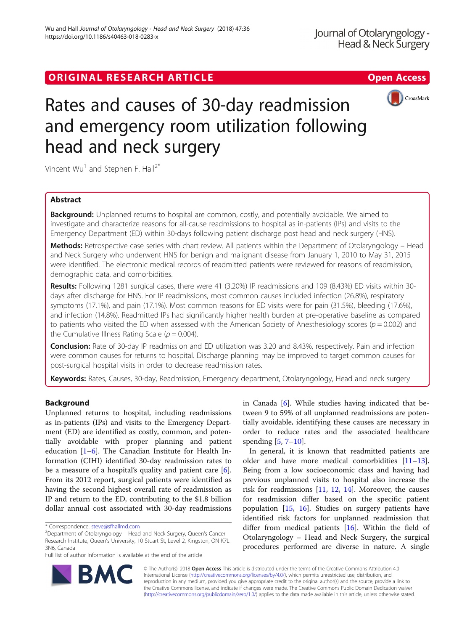## ORIGINAL RESEARCH ARTICLE **External of the Contract Contract Contract Contract Contract Contract Contract Contract Contract Contract Contract Contract Contract Contract Contract Contract Contract Contract Contract Contract**



# Rates and causes of 30-day readmission and emergency room utilization following head and neck surgery

Vincent  $Wu^1$  and Stephen F. Hall<sup>2\*</sup>

## Abstract

**Background:** Unplanned returns to hospital are common, costly, and potentially avoidable. We aimed to investigate and characterize reasons for all-cause readmissions to hospital as in-patients (IPs) and visits to the Emergency Department (ED) within 30-days following patient discharge post head and neck surgery (HNS).

Methods: Retrospective case series with chart review. All patients within the Department of Otolaryngology – Head and Neck Surgery who underwent HNS for benign and malignant disease from January 1, 2010 to May 31, 2015 were identified. The electronic medical records of readmitted patients were reviewed for reasons of readmission, demographic data, and comorbidities.

Results: Following 1281 surgical cases, there were 41 (3.20%) IP readmissions and 109 (8.43%) ED visits within 30days after discharge for HNS. For IP readmissions, most common causes included infection (26.8%), respiratory symptoms (17.1%), and pain (17.1%). Most common reasons for ED visits were for pain (31.5%), bleeding (17.6%), and infection (14.8%). Readmitted IPs had significantly higher health burden at pre-operative baseline as compared to patients who visited the ED when assessed with the American Society of Anesthesiology scores ( $p = 0.002$ ) and the Cumulative Illness Rating Scale ( $p = 0.004$ ).

Conclusion: Rate of 30-day IP readmission and ED utilization was 3.20 and 8.43%, respectively. Pain and infection were common causes for returns to hospital. Discharge planning may be improved to target common causes for post-surgical hospital visits in order to decrease readmission rates.

Keywords: Rates, Causes, 30-day, Readmission, Emergency department, Otolaryngology, Head and neck surgery

## Background

Unplanned returns to hospital, including readmissions as in-patients (IPs) and visits to the Emergency Department (ED) are identified as costly, common, and potentially avoidable with proper planning and patient education  $[1-6]$  $[1-6]$  $[1-6]$ . The Canadian Institute for Health Information (CIHI) identified 30-day readmission rates to be a measure of a hospital's quality and patient care [\[6](#page-4-0)]. From its 2012 report, surgical patients were identified as having the second highest overall rate of readmission as IP and return to the ED, contributing to the \$1.8 billion dollar annual cost associated with 30-day readmissions in Canada [\[6](#page-4-0)]. While studies having indicated that between 9 to 59% of all unplanned readmissions are potentially avoidable, identifying these causes are necessary in order to reduce rates and the associated healthcare spending  $[5, 7-10]$  $[5, 7-10]$  $[5, 7-10]$  $[5, 7-10]$  $[5, 7-10]$  $[5, 7-10]$  $[5, 7-10]$ .

In general, it is known that readmitted patients are older and have more medical comorbidities [[11](#page-4-0)–[13](#page-4-0)]. Being from a low socioeconomic class and having had previous unplanned visits to hospital also increase the risk for readmissions [\[11](#page-4-0), [12,](#page-4-0) [14\]](#page-4-0). Moreover, the causes for readmission differ based on the specific patient population [[15](#page-4-0), [16\]](#page-4-0). Studies on surgery patients have identified risk factors for unplanned readmission that differ from medical patients [[16](#page-4-0)]. Within the field of Otolaryngology – Head and Neck Surgery, the surgical procedures performed are diverse in nature. A single



© The Author(s). 2018 Open Access This article is distributed under the terms of the Creative Commons Attribution 4.0 International License [\(http://creativecommons.org/licenses/by/4.0/](http://creativecommons.org/licenses/by/4.0/)), which permits unrestricted use, distribution, and reproduction in any medium, provided you give appropriate credit to the original author(s) and the source, provide a link to the Creative Commons license, and indicate if changes were made. The Creative Commons Public Domain Dedication waiver [\(http://creativecommons.org/publicdomain/zero/1.0/](http://creativecommons.org/publicdomain/zero/1.0/)) applies to the data made available in this article, unless otherwise stated.

<sup>\*</sup> Correspondence: [steve@sfhallmd.com](mailto:steve@sfhallmd.com) <sup>2</sup>

 $2$ Department of Otolaryngology – Head and Neck Surgery, Queen's Cancer Research Institute, Queen's University, 10 Stuart St, Level 2, Kingston, ON K7L 3N6, Canada

Full list of author information is available at the end of the article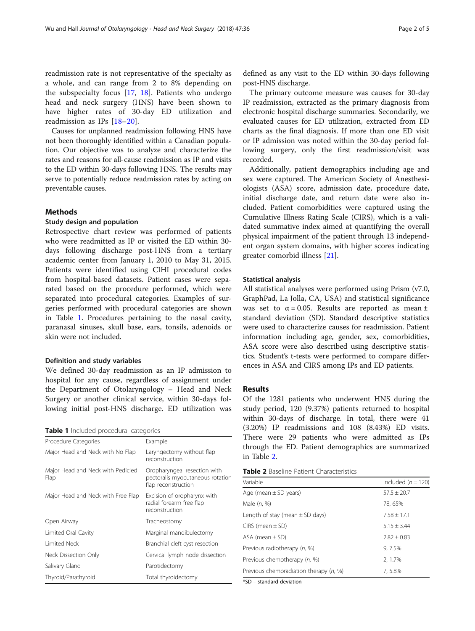readmission rate is not representative of the specialty as a whole, and can range from 2 to 8% depending on the subspecialty focus [\[17](#page-4-0), [18](#page-4-0)]. Patients who undergo head and neck surgery (HNS) have been shown to have higher rates of 30-day ED utilization and readmission as IPs [[18](#page-4-0)–[20](#page-4-0)].

Causes for unplanned readmission following HNS have not been thoroughly identified within a Canadian population. Our objective was to analyze and characterize the rates and reasons for all-cause readmission as IP and visits to the ED within 30-days following HNS. The results may serve to potentially reduce readmission rates by acting on preventable causes.

## Methods

## Study design and population

Retrospective chart review was performed of patients who were readmitted as IP or visited the ED within 30 days following discharge post-HNS from a tertiary academic center from January 1, 2010 to May 31, 2015. Patients were identified using CIHI procedural codes from hospital-based datasets. Patient cases were separated based on the procedure performed, which were separated into procedural categories. Examples of surgeries performed with procedural categories are shown in Table 1. Procedures pertaining to the nasal cavity, paranasal sinuses, skull base, ears, tonsils, adenoids or skin were not included.

## Definition and study variables

We defined 30-day readmission as an IP admission to hospital for any cause, regardless of assignment under the Department of Otolaryngology – Head and Neck Surgery or another clinical service, within 30-days following initial post-HNS discharge. ED utilization was

|  |  | Table 1 Included procedural categories |
|--|--|----------------------------------------|
|--|--|----------------------------------------|

| Procedure Categories                      | Example                                                                                 |
|-------------------------------------------|-----------------------------------------------------------------------------------------|
| Major Head and Neck with No Flap          | Laryngectomy without flap<br>reconstruction                                             |
| Major Head and Neck with Pedicled<br>Flap | Oropharyngeal resection with<br>pectoralis myocutaneous rotation<br>flap reconstruction |
| Major Head and Neck with Free Flap        | Excision of oropharynx with<br>radial forearm free flap<br>reconstruction               |
| Open Airway                               | Tracheostomy                                                                            |
| Limited Oral Cavity                       | Marginal mandibulectomy                                                                 |
| <b>Limited Neck</b>                       | Branchial cleft cyst resection                                                          |
| Neck Dissection Only                      | Cervical lymph node dissection                                                          |
| Salivary Gland                            | Parotidectomy                                                                           |
| Thyroid/Parathyroid                       | Total thyroidectomy                                                                     |
|                                           |                                                                                         |

defined as any visit to the ED within 30-days following post-HNS discharge.

The primary outcome measure was causes for 30-day IP readmission, extracted as the primary diagnosis from electronic hospital discharge summaries. Secondarily, we evaluated causes for ED utilization, extracted from ED charts as the final diagnosis. If more than one ED visit or IP admission was noted within the 30-day period following surgery, only the first readmission/visit was recorded.

Additionally, patient demographics including age and sex were captured. The American Society of Anesthesiologists (ASA) score, admission date, procedure date, initial discharge date, and return date were also included. Patient comorbidities were captured using the Cumulative Illness Rating Scale (CIRS), which is a validated summative index aimed at quantifying the overall physical impairment of the patient through 13 independent organ system domains, with higher scores indicating greater comorbid illness [[21](#page-4-0)].

## Statistical analysis

All statistical analyses were performed using Prism (v7.0, GraphPad, La Jolla, CA, USA) and statistical significance was set to  $\alpha = 0.05$ . Results are reported as mean  $\pm$ standard deviation (SD). Standard descriptive statistics were used to characterize causes for readmission. Patient information including age, gender, sex, comorbidities, ASA score were also described using descriptive statistics. Student's t-tests were performed to compare differences in ASA and CIRS among IPs and ED patients.

## Results

Of the 1281 patients who underwent HNS during the study period, 120 (9.37%) patients returned to hospital within 30-days of discharge. In total, there were 41 (3.20%) IP readmissions and 108 (8.43%) ED visits. There were 29 patients who were admitted as IPs through the ED. Patient demographics are summarized in Table 2.

| Variable                               | Included $(n = 120)$ |  |
|----------------------------------------|----------------------|--|
| Age (mean $\pm$ SD years)              | $57.5 + 20.7$        |  |
| Male $(n, %)$                          | 78, 65%              |  |
| Length of stay (mean $\pm$ SD days)    | $7.58 \pm 17.1$      |  |
| $CIRS$ (mean $\pm SD$ )                | $5.15 + 3.44$        |  |
| $ASA$ (mean $\pm$ SD)                  | $7.87 + 0.83$        |  |
| Previous radiotherapy (n, %)           | 9.7.5%               |  |
| Previous chemotherapy (n, %)           | 2, 1.7%              |  |
| Previous chemoradiation therapy (n, %) | 7,5.8%               |  |

\*SD – standard deviation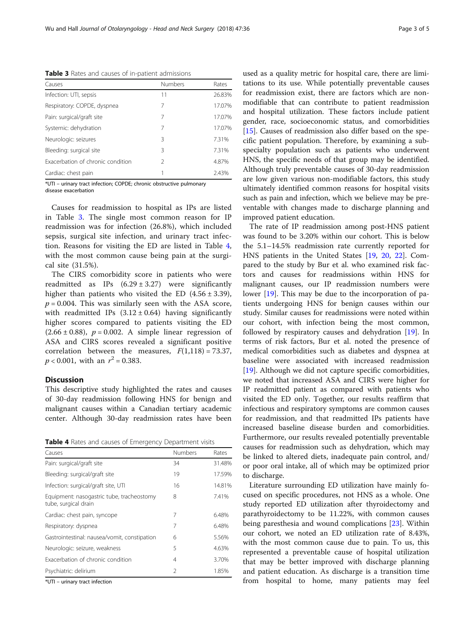Table 3 Rates and causes of in-patient admissions

| Causes                            | <b>Numbers</b> | Rates  |
|-----------------------------------|----------------|--------|
| Infection: UTI, sepsis            | 11             | 26.83% |
| Respiratory: COPDE, dyspnea       | 7              | 17.07% |
| Pain: surgical/graft site         | 7              | 17.07% |
| Systemic: dehydration             | 7              | 17.07% |
| Neurologic: seizures              | 3              | 7.31%  |
| Bleeding: surgical site           | ζ              | 7.31%  |
| Exacerbation of chronic condition | $\mathcal{P}$  | 4.87%  |
| Cardiac: chest pain               |                | 2.43%  |

\*UTI – urinary tract infection; COPDE; chronic obstructive pulmonary disease exacerbation

Causes for readmission to hospital as IPs are listed in Table 3. The single most common reason for IP readmission was for infection (26.8%), which included sepsis, surgical site infection, and urinary tract infection. Reasons for visiting the ED are listed in Table 4, with the most common cause being pain at the surgical site (31.5%).

The CIRS comorbidity score in patients who were readmitted as IPs  $(6.29 \pm 3.27)$  were significantly higher than patients who visited the ED  $(4.56 \pm 3.39)$ ,  $p = 0.004$ . This was similarly seen with the ASA score, with readmitted IPs  $(3.12 \pm 0.64)$  having significantly higher scores compared to patients visiting the ED  $(2.66 \pm 0.88)$ ,  $p = 0.002$ . A simple linear regression of ASA and CIRS scores revealed a significant positive correlation between the measures,  $F(1,118) = 73.37$ ,  $p < 0.001$ , with an  $r^2 = 0.383$ .

## **Discussion**

This descriptive study highlighted the rates and causes of 30-day readmission following HNS for benign and malignant causes within a Canadian tertiary academic center. Although 30-day readmission rates have been

Table 4 Rates and causes of Emergency Department visits

| Causes                                                            | <b>Numbers</b> | Rates  |
|-------------------------------------------------------------------|----------------|--------|
| Pain: surgical/graft site                                         | 34             | 31.48% |
| Bleeding: surgical/graft site                                     | 19             | 17.59% |
| Infection: surgical/graft site, UTI                               | 16             | 14.81% |
| Equipment: nasogastric tube, tracheostomy<br>tube, surgical drain | 8              | 7.41%  |
| Cardiac: chest pain, syncope                                      | 7              | 6.48%  |
| Respiratory: dyspnea                                              | 7              | 6.48%  |
| Gastrointestinal: nausea/vomit, constipation                      | 6              | 5.56%  |
| Neurologic: seizure, weakness                                     | 5              | 4.63%  |
| Exacerbation of chronic condition                                 | 4              | 3.70%  |
| Psychiatric: delirium                                             | $\mathcal{P}$  | 1.85%  |

\*UTI – urinary tract infection

used as a quality metric for hospital care, there are limitations to its use. While potentially preventable causes for readmission exist, there are factors which are nonmodifiable that can contribute to patient readmission and hospital utilization. These factors include patient gender, race, socioeconomic status, and comorbidities [[15\]](#page-4-0). Causes of readmission also differ based on the specific patient population. Therefore, by examining a subspecialty population such as patients who underwent HNS, the specific needs of that group may be identified. Although truly preventable causes of 30-day readmission are low given various non-modifiable factors, this study ultimately identified common reasons for hospital visits such as pain and infection, which we believe may be preventable with changes made to discharge planning and improved patient education.

The rate of IP readmission among post-HNS patient was found to be 3.20% within our cohort. This is below the 5.1–14.5% readmission rate currently reported for HNS patients in the United States [[19](#page-4-0), [20](#page-4-0), [22\]](#page-4-0). Compared to the study by Bur et al. who examined risk factors and causes for readmissions within HNS for malignant causes, our IP readmission numbers were lower [\[19\]](#page-4-0). This may be due to the incorporation of patients undergoing HNS for benign causes within our study. Similar causes for readmissions were noted within our cohort, with infection being the most common, followed by respiratory causes and dehydration [[19](#page-4-0)]. In terms of risk factors, Bur et al. noted the presence of medical comorbidities such as diabetes and dyspnea at baseline were associated with increased readmission [[19\]](#page-4-0). Although we did not capture specific comorbidities, we noted that increased ASA and CIRS were higher for IP readmitted patient as compared with patients who visited the ED only. Together, our results reaffirm that infectious and respiratory symptoms are common causes for readmission, and that readmitted IPs patients have increased baseline disease burden and comorbidities. Furthermore, our results revealed potentially preventable causes for readmission such as dehydration, which may be linked to altered diets, inadequate pain control, and/ or poor oral intake, all of which may be optimized prior to discharge.

Literature surrounding ED utilization have mainly focused on specific procedures, not HNS as a whole. One study reported ED utilization after thyroidectomy and parathyroidectomy to be 11.22%, with common causes being paresthesia and wound complications [\[23](#page-4-0)]. Within our cohort, we noted an ED utilization rate of 8.43%, with the most common cause due to pain. To us, this represented a preventable cause of hospital utilization that may be better improved with discharge planning and patient education. As discharge is a transition time from hospital to home, many patients may feel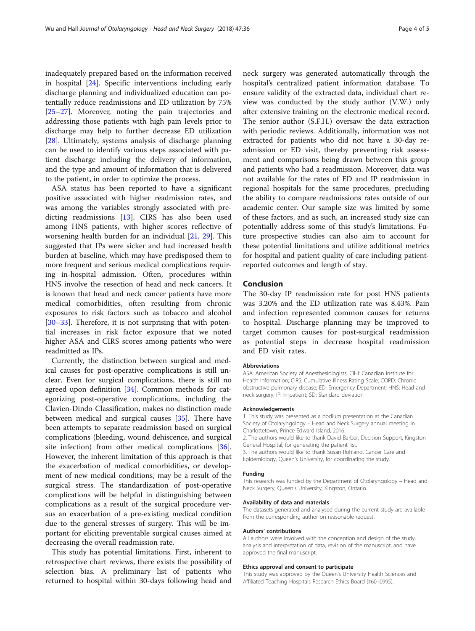inadequately prepared based on the information received in hospital [[24\]](#page-4-0). Specific interventions including early discharge planning and individualized education can potentially reduce readmissions and ED utilization by 75% [[25](#page-4-0)–[27](#page-4-0)]. Moreover, noting the pain trajectories and addressing those patients with high pain levels prior to discharge may help to further decrease ED utilization [[28\]](#page-4-0). Ultimately, systems analysis of discharge planning can be used to identify various steps associated with patient discharge including the delivery of information, and the type and amount of information that is delivered to the patient, in order to optimize the process.

ASA status has been reported to have a significant positive associated with higher readmission rates, and was among the variables strongly associated with predicting readmissions [[13\]](#page-4-0). CIRS has also been used among HNS patients, with higher scores reflective of worsening health burden for an individual [\[21](#page-4-0), [29\]](#page-4-0). This suggested that IPs were sicker and had increased health burden at baseline, which may have predisposed them to more frequent and serious medical complications requiring in-hospital admission. Often, procedures within HNS involve the resection of head and neck cancers. It is known that head and neck cancer patients have more medical comorbidities, often resulting from chronic exposures to risk factors such as tobacco and alcohol [[30](#page-4-0)–[33](#page-4-0)]. Therefore, it is not surprising that with potential increases in risk factor exposure that we noted higher ASA and CIRS scores among patients who were readmitted as IPs.

Currently, the distinction between surgical and medical causes for post-operative complications is still unclear. Even for surgical complications, there is still no agreed upon definition [[34\]](#page-4-0). Common methods for categorizing post-operative complications, including the Clavien-Dindo Classification, makes no distinction made between medical and surgical causes [[35](#page-4-0)]. There have been attempts to separate readmission based on surgical complications (bleeding, wound dehiscence, and surgical site infection) from other medical complications [\[36](#page-4-0)]. However, the inherent limitation of this approach is that the exacerbation of medical comorbidities, or development of new medical conditions, may be a result of the surgical stress. The standardization of post-operative complications will be helpful in distinguishing between complications as a result of the surgical procedure versus an exacerbation of a pre-existing medical condition due to the general stresses of surgery. This will be important for eliciting preventable surgical causes aimed at decreasing the overall readmission rate.

This study has potential limitations. First, inherent to retrospective chart reviews, there exists the possibility of selection bias. A preliminary list of patients who returned to hospital within 30-days following head and

neck surgery was generated automatically through the hospital's centralized patient information database. To ensure validity of the extracted data, individual chart review was conducted by the study author (V.W.) only after extensive training on the electronic medical record. The senior author (S.F.H.) oversaw the data extraction with periodic reviews. Additionally, information was not extracted for patients who did not have a 30-day readmission or ED visit, thereby preventing risk assessment and comparisons being drawn between this group and patients who had a readmission. Moreover, data was not available for the rates of ED and IP readmission in regional hospitals for the same procedures, precluding the ability to compare readmissions rates outside of our academic center. Our sample size was limited by some of these factors, and as such, an increased study size can potentially address some of this study's limitations. Future prospective studies can also aim to account for these potential limitations and utilize additional metrics for hospital and patient quality of care including patientreported outcomes and length of stay.

## Conclusion

The 30-day IP readmission rate for post HNS patients was 3.20% and the ED utilization rate was 8.43%. Pain and infection represented common causes for returns to hospital. Discharge planning may be improved to target common causes for post-surgical readmission as potential steps in decrease hospital readmission and ED visit rates.

#### Abbreviations

ASA: American Society of Anesthesiologists; CIHI: Canadian Institute for Health Information; CIRS: Cumulative Illness Rating Scale; COPD: Chronic obstructive pulmonary disease; ED: Emergency Department; HNS: Head and neck surgery; IP: In-patient; SD: Standard deviation

#### Acknowledgements

1. This study was presented as a podium presentation at the Canadian Society of Otolaryngology – Head and Neck Surgery annual meeting in Charlottetown, Prince Edward Island, 2016.

2. The authors would like to thank David Barber, Decision Support, Kingston General Hospital, for generating the patient list.

- 3. The authors would like to thank Susan Rohland, Cancer Care and Epidemiology, Queen's University, for coordinating the study.
- Funding

This research was funded by the Department of Otolaryngology – Head and Neck Surgery, Queen's University, Kingston, Ontario.

#### Availability of data and materials

The datasets generated and analysed during the current study are available from the corresponding author on reasonable request.

#### Authors' contributions

All authors were involved with the conception and design of the study, analysis and interpretation of data, revision of the manuscript, and have approved the final manuscript.

#### Ethics approval and consent to participate

This study was approved by the Queen's University Health Sciences and Affiliated Teaching Hospitals Research Ethics Board (#6010995).